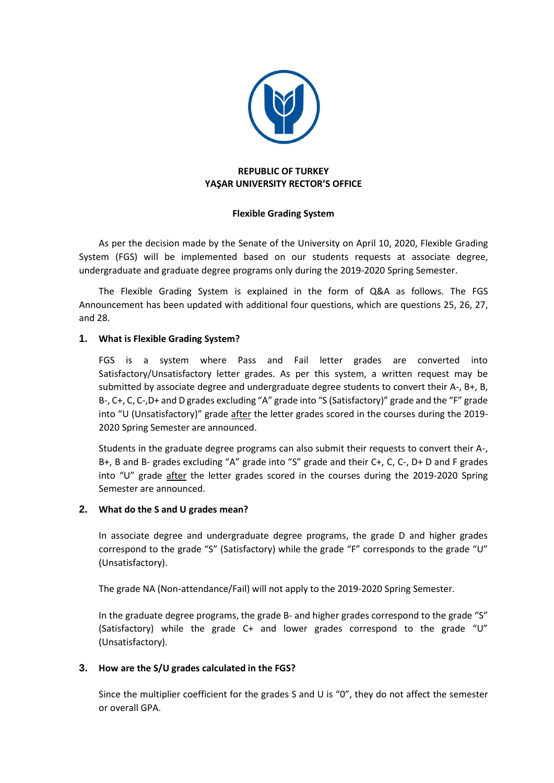

## **REPUBLIC OF TURKEY YAŞAR UNIVERSITY RECTOR'S OFFICE**

### **Flexible Grading System**

As per the decision made by the Senate of the University on April 10, 2020, Flexible Grading System (FGS) will be implemented based on our students requests at associate degree, undergraduate and graduate degree programs only during the 2019-2020 Spring Semester.

 The Flexible Grading System is explained in the form of Q&A as follows. The FGS Announcement has been updated with additional four questions, which are questions 25, 26, 27, and 28.

### **1. What is Flexible Grading System?**

FGS is a system where Pass and Fail letter grades are converted into Satisfactory/Unsatisfactory letter grades. As per this system, a written request may be submitted by associate degree and undergraduate degree students to convert their A-, B+, B, B-, C+, C, C-,D+ and D grades excluding "A" grade into "S (Satisfactory)" grade and the "F" grade into "U (Unsatisfactory)" grade after the letter grades scored in the courses during the 2019- 2020 Spring Semester are announced.

Students in the graduate degree programs can also submit their requests to convert their A-, B+, B and B- grades excluding "A" grade into "S" grade and their C+, C, C-, D+ D and F grades into "U" grade after the letter grades scored in the courses during the 2019-2020 Spring Semester are announced.

#### **2. What do the S and U grades mean?**

In associate degree and undergraduate degree programs, the grade D and higher grades correspond to the grade "S" (Satisfactory) while the grade "F" corresponds to the grade "U" (Unsatisfactory).

The grade NA (Non-attendance/Fail) will not apply to the 2019-2020 Spring Semester.

In the graduate degree programs, the grade B- and higher grades correspond to the grade "S" (Satisfactory) while the grade C+ and lower grades correspond to the grade "U" (Unsatisfactory).

## **3. How are the S/U grades calculated in the FGS?**

Since the multiplier coefficient for the grades S and U is "0", they do not affect the semester or overall GPA.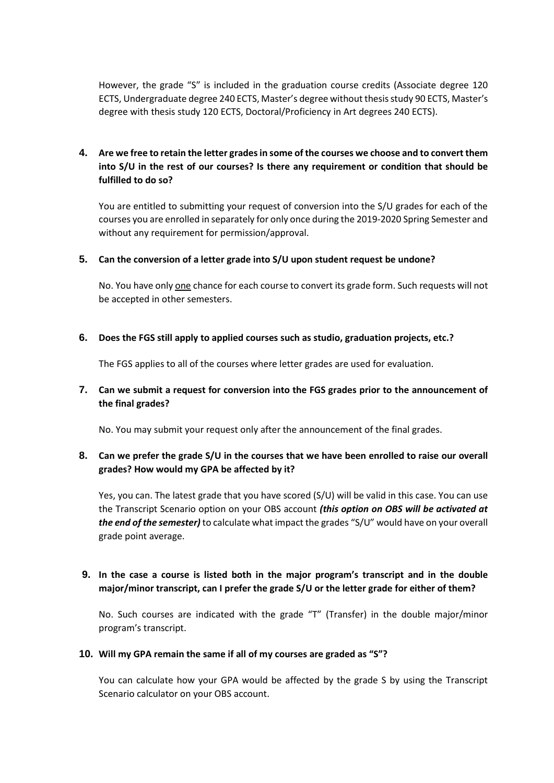However, the grade "S" is included in the graduation course credits (Associate degree 120 ECTS, Undergraduate degree 240 ECTS, Master's degree without thesisstudy 90 ECTS, Master's degree with thesis study 120 ECTS, Doctoral/Proficiency in Art degrees 240 ECTS).

# 4. Are we free to retain the letter grades in some of the courses we choose and to convert them **into S/U in the rest of our courses? Is there any requirement or condition that should be fulfilled to do so?**

You are entitled to submitting your request of conversion into the S/U grades for each of the courses you are enrolled in separately for only once during the 2019-2020 Spring Semester and without any requirement for permission/approval.

#### **5. Can the conversion of a letter grade into S/U upon student request be undone?**

No. You have only one chance for each course to convert its grade form. Such requests will not be accepted in other semesters.

### **6. Does the FGS still apply to applied courses such as studio, graduation projects, etc.?**

The FGS applies to all of the courses where letter grades are used for evaluation.

## **7. Can we submit a request for conversion into the FGS grades prior to the announcement of the final grades?**

No. You may submit your request only after the announcement of the final grades.

## 8. Can we prefer the grade S/U in the courses that we have been enrolled to raise our overall **grades? How would my GPA be affected by it?**

Yes, you can. The latest grade that you have scored (S/U) will be valid in this case. You can use the Transcript Scenario option on your OBS account *(this option on OBS will be activated at the end of the semester)* to calculate what impact the grades "S/U" would have on your overall grade point average.

# **9. In the case a course is listed both in the major program's transcript and in the double major/minor transcript, can I prefer the grade S/U or the letter grade for either of them?**

No. Such courses are indicated with the grade "T" (Transfer) in the double major/minor program's transcript.

#### **10. Will my GPA remain the same if all of my courses are graded as "S"?**

You can calculate how your GPA would be affected by the grade S by using the Transcript Scenario calculator on your OBS account.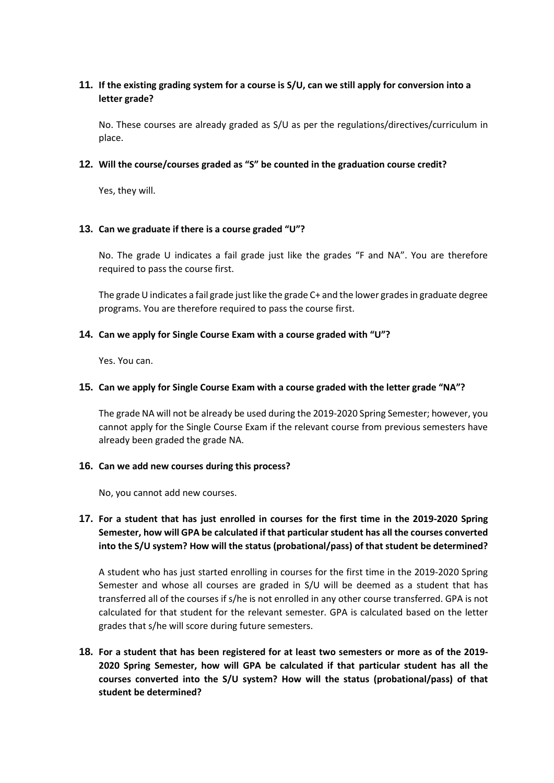# 11. If the existing grading system for a course is S/U, can we still apply for conversion into a **letter grade?**

No. These courses are already graded as S/U as per the regulations/directives/curriculum in place.

#### **12. Will the course/courses graded as "S" be counted in the graduation course credit?**

Yes, they will.

### **13. Can we graduate if there is a course graded "U"?**

No. The grade U indicates a fail grade just like the grades "F and NA". You are therefore required to pass the course first.

The grade U indicates a fail grade just like the grade C+ and the lower grades in graduate degree programs. You are therefore required to pass the course first.

### **14. Can we apply for Single Course Exam with a course graded with "U"?**

Yes. You can.

#### **15. Can we apply for Single Course Exam with a course graded with the letter grade "NA"?**

The grade NA will not be already be used during the 2019-2020 Spring Semester; however, you cannot apply for the Single Course Exam if the relevant course from previous semesters have already been graded the grade NA.

#### **16. Can we add new courses during this process?**

No, you cannot add new courses.

# **17. For a student that has just enrolled in courses for the first time in the 2019-2020 Spring Semester, how will GPA be calculated if that particular student has all the courses converted into the S/U system? How will the status (probational/pass) of that student be determined?**

A student who has just started enrolling in courses for the first time in the 2019-2020 Spring Semester and whose all courses are graded in S/U will be deemed as a student that has transferred all of the courses if s/he is not enrolled in any other course transferred. GPA is not calculated for that student for the relevant semester. GPA is calculated based on the letter grades that s/he will score during future semesters.

18. For a student that has been registered for at least two semesters or more as of the 2019-**2020 Spring Semester, how will GPA be calculated if that particular student has all the courses converted into the S/U system? How will the status (probational/pass) of that student be determined?**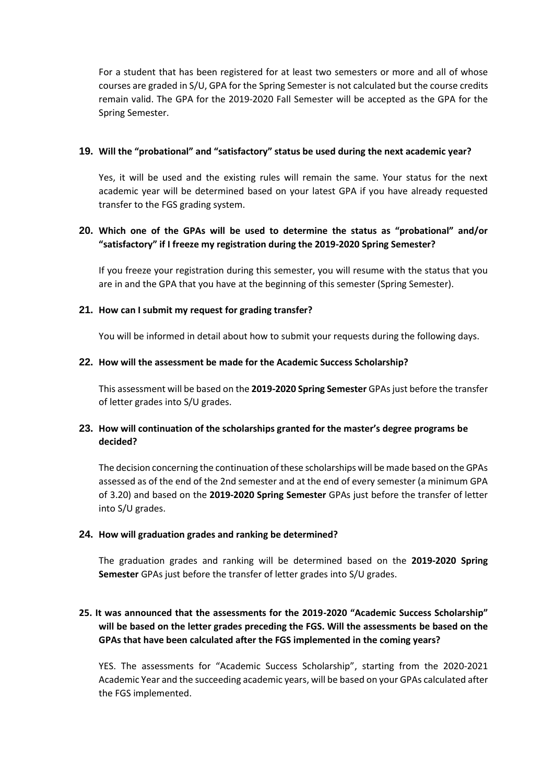For a student that has been registered for at least two semesters or more and all of whose courses are graded in S/U, GPA for the Spring Semester is not calculated but the course credits remain valid. The GPA for the 2019-2020 Fall Semester will be accepted as the GPA for the Spring Semester.

### **19. Will the "probational" and "satisfactory" status be used during the next academic year?**

Yes, it will be used and the existing rules will remain the same. Your status for the next academic year will be determined based on your latest GPA if you have already requested transfer to the FGS grading system.

## **20. Which one of the GPAs will be used to determine the status as "probational" and/or "satisfactory" if I freeze my registration during the 2019-2020 Spring Semester?**

If you freeze your registration during this semester, you will resume with the status that you are in and the GPA that you have at the beginning of this semester (Spring Semester).

### **21. How can I submit my request for grading transfer?**

You will be informed in detail about how to submit your requests during the following days.

### **22. How will the assessment be made for the Academic Success Scholarship?**

This assessment will be based on the **2019-2020 Spring Semester** GPAs just before the transfer of letter grades into S/U grades.

# **23. How will continuation of the scholarships granted for the master's degree programs be decided?**

The decision concerning the continuation of these scholarships will be made based on the GPAs assessed as of the end of the 2nd semester and at the end of every semester (a minimum GPA of 3.20) and based on the **2019-2020 Spring Semester** GPAs just before the transfer of letter into S/U grades.

#### **24. How will graduation grades and ranking be determined?**

The graduation grades and ranking will be determined based on the **2019-2020 Spring Semester** GPAs just before the transfer of letter grades into S/U grades.

# **25. It was announced that the assessments for the 2019-2020 "Academic Success Scholarship" will be based on the letter grades preceding the FGS. Will the assessments be based on the GPAs that have been calculated after the FGS implemented in the coming years?**

YES. The assessments for "Academic Success Scholarship", starting from the 2020-2021 Academic Year and the succeeding academic years, will be based on your GPAs calculated after the FGS implemented.